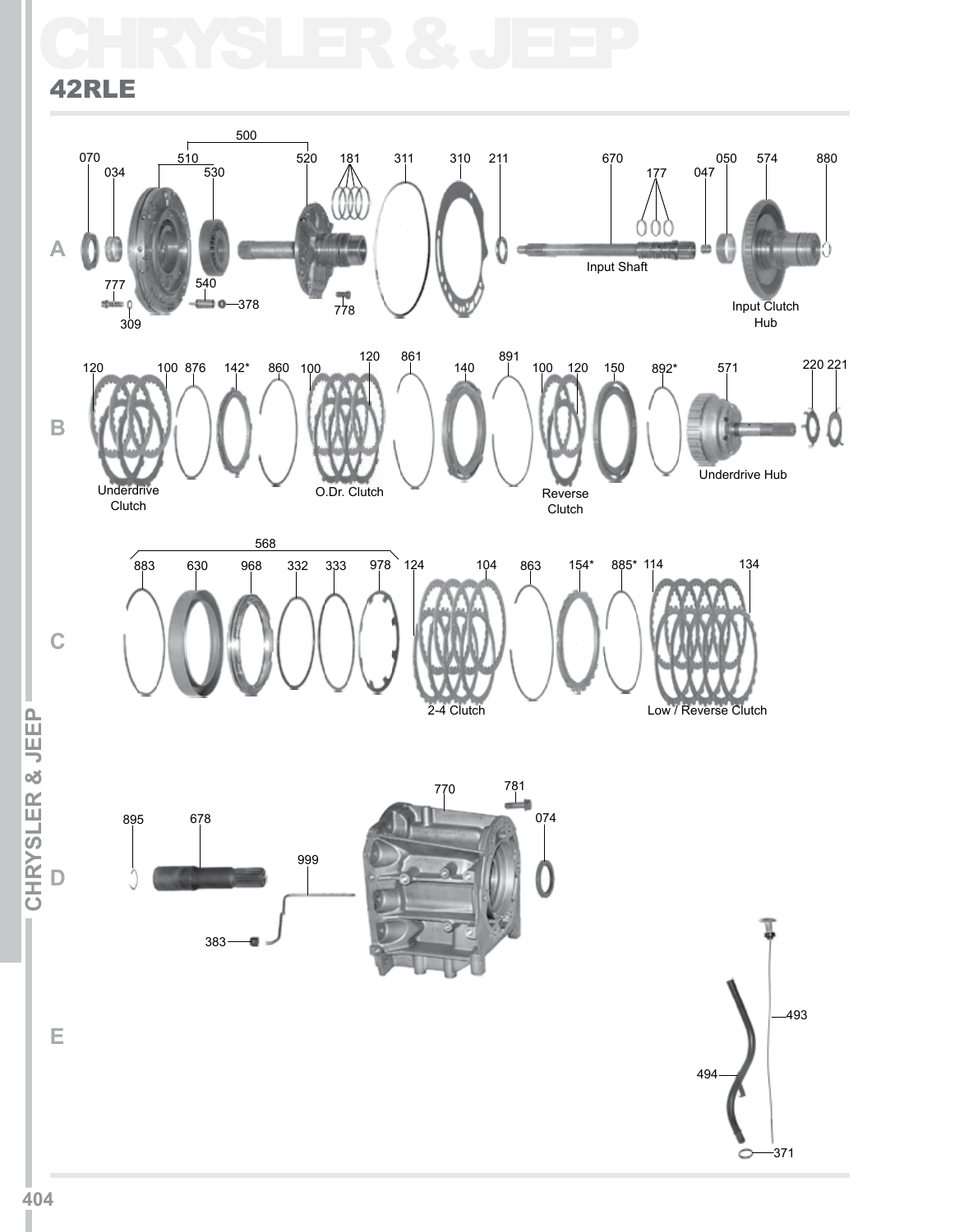## CHRYSLER & JEEP 42RLE

### **C B A** 070<br>| 034  $\overline{530}$  $\frac{1}{510}$ 777 540 378 —<br>520 181  $\frac{1}{778}$ 311 310 211 670 177 047 050 574 880 Input Clutch Hub 500 Input Shaft 120 100 876 142\* 860 100 120 861 140 Underdrive Clutch O.Dr. Clutch 891 100 120 150 892\* 571 220 221 Reverse Clutch Underdrive Hub 883 630 968 332 333 978 568 124 104 863 154\* 885\* 114 134  $\frac{1}{309}$

2-4 Clutch

L CHRYSLER & JEEP **ICHRYSLER & JEEPI D**

895 678





Low / Reverse Clutch

**E**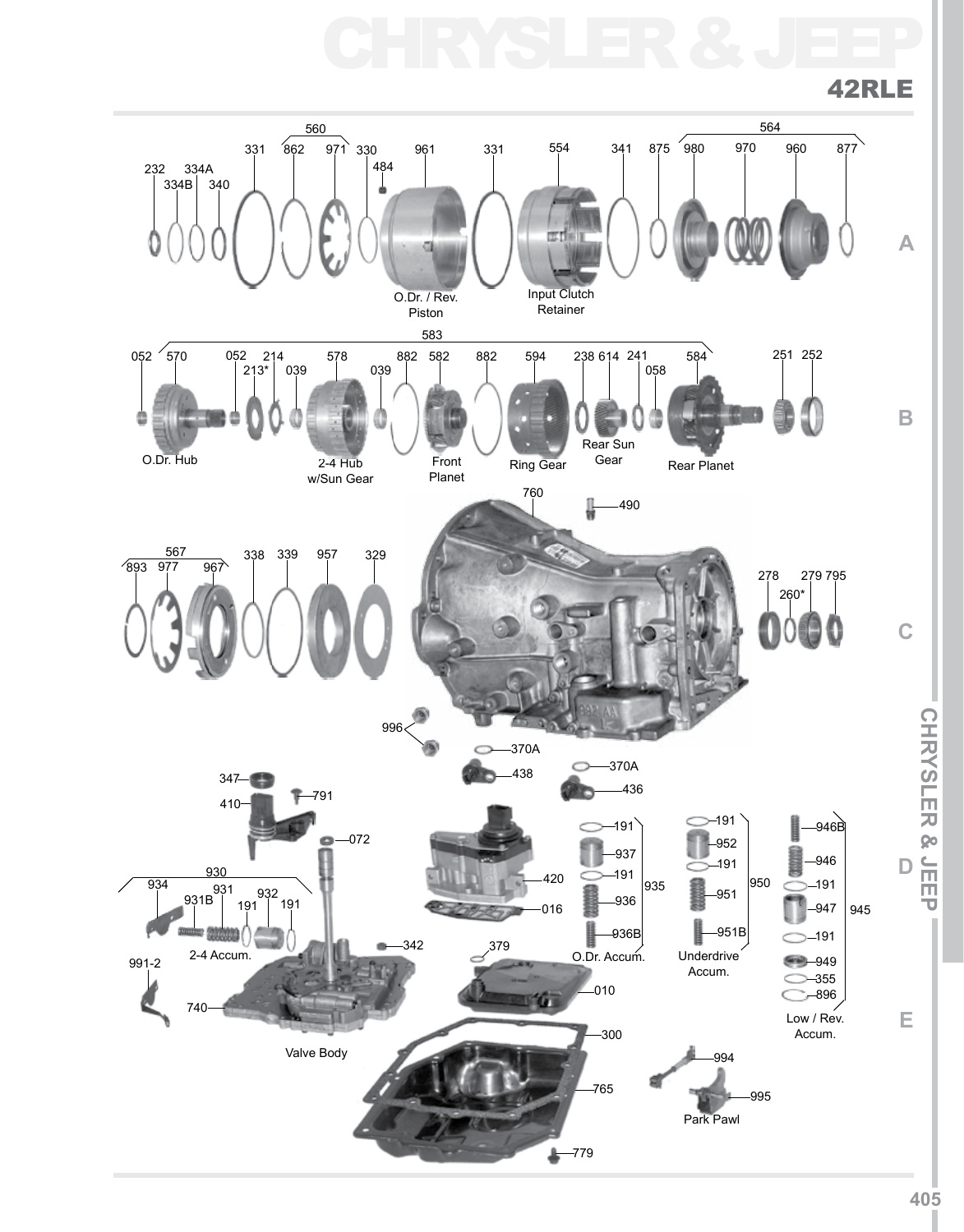## CHRYSLER & JEEP

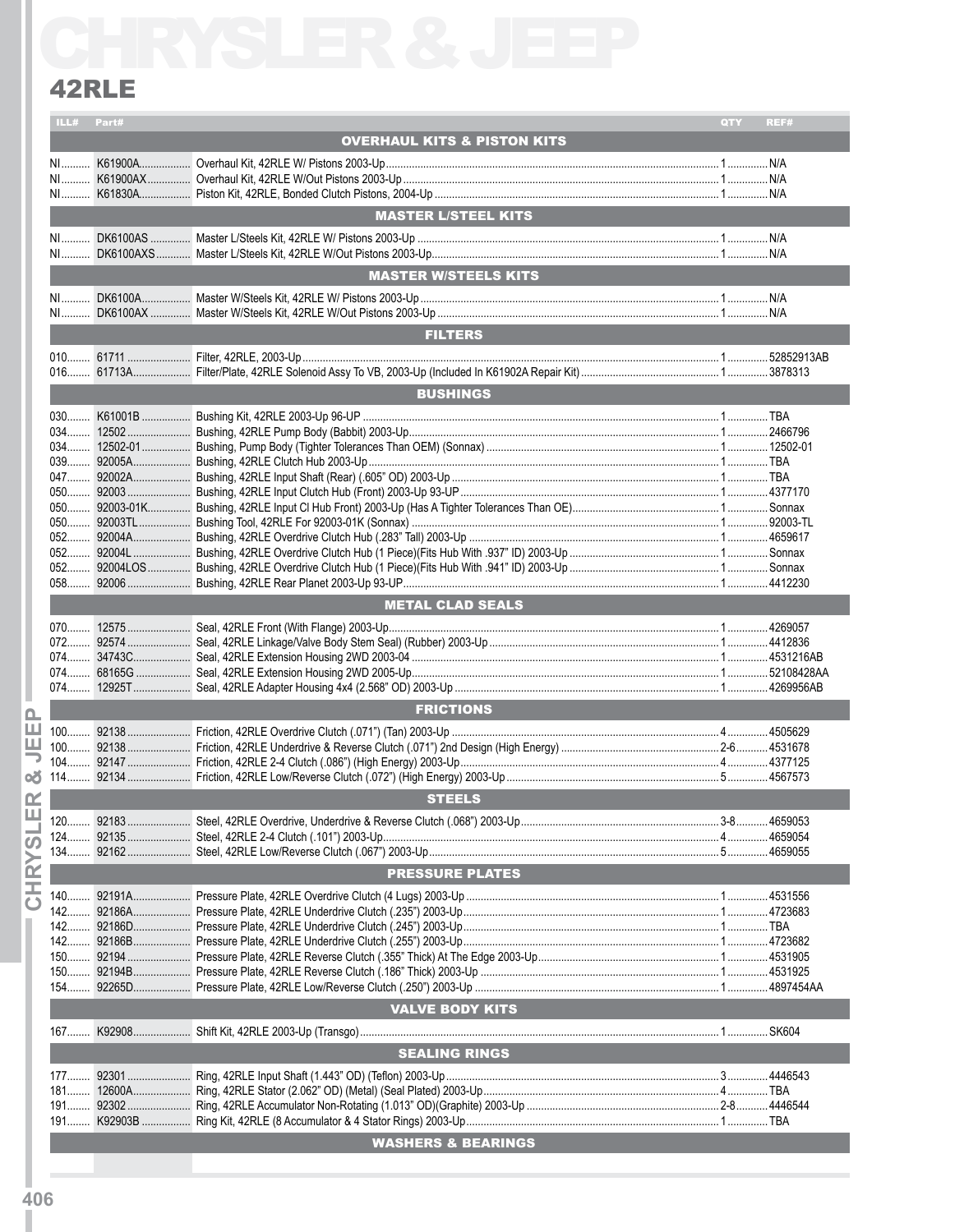### 42RLE

| 42RLE      |                                        |     |      |
|------------|----------------------------------------|-----|------|
| ILL# Part# |                                        | QTY | REF# |
|            | <b>OVERHAUL KITS &amp; PISTON KITS</b> |     |      |
|            |                                        |     |      |
|            |                                        |     |      |
|            |                                        |     |      |
|            | <b>MASTER L/STEEL KITS</b>             |     |      |
|            |                                        |     |      |
|            |                                        |     |      |
|            | <b>MASTER W/STEELS KITS</b>            |     |      |
|            |                                        |     |      |
|            |                                        |     |      |
|            | <b>FILTERS</b>                         |     |      |
|            |                                        |     |      |
|            |                                        |     |      |
|            |                                        |     |      |
|            | <b>BUSHINGS</b>                        |     |      |
|            |                                        |     |      |
|            |                                        |     |      |
|            |                                        |     |      |
|            |                                        |     |      |
|            |                                        |     |      |
|            |                                        |     |      |
|            |                                        |     |      |
|            |                                        |     |      |
|            |                                        |     |      |
|            |                                        |     |      |
|            |                                        |     |      |
|            | <b>METAL CLAD SEALS</b>                |     |      |
|            |                                        |     |      |
|            |                                        |     |      |
|            |                                        |     |      |
|            |                                        |     |      |
|            |                                        |     |      |
|            | <b>FRICTIONS</b>                       |     |      |
|            |                                        |     |      |
|            |                                        |     |      |
|            |                                        |     |      |
|            |                                        |     |      |
|            | <b>STEELS</b>                          |     |      |
|            |                                        |     |      |
|            |                                        |     |      |
|            |                                        |     |      |
|            |                                        |     |      |
|            | <b>PRESSURE PLATES</b>                 |     |      |
|            |                                        |     |      |
|            |                                        |     |      |
|            |                                        |     |      |
|            |                                        |     |      |
|            |                                        |     |      |
|            |                                        |     |      |
|            |                                        |     |      |
|            | <b>VALVE BODY KITS</b>                 |     |      |
|            |                                        |     |      |
|            | <b>SEALING RINGS</b>                   |     |      |
|            |                                        |     |      |
|            |                                        |     |      |
|            |                                        |     |      |
|            |                                        |     |      |
|            |                                        |     |      |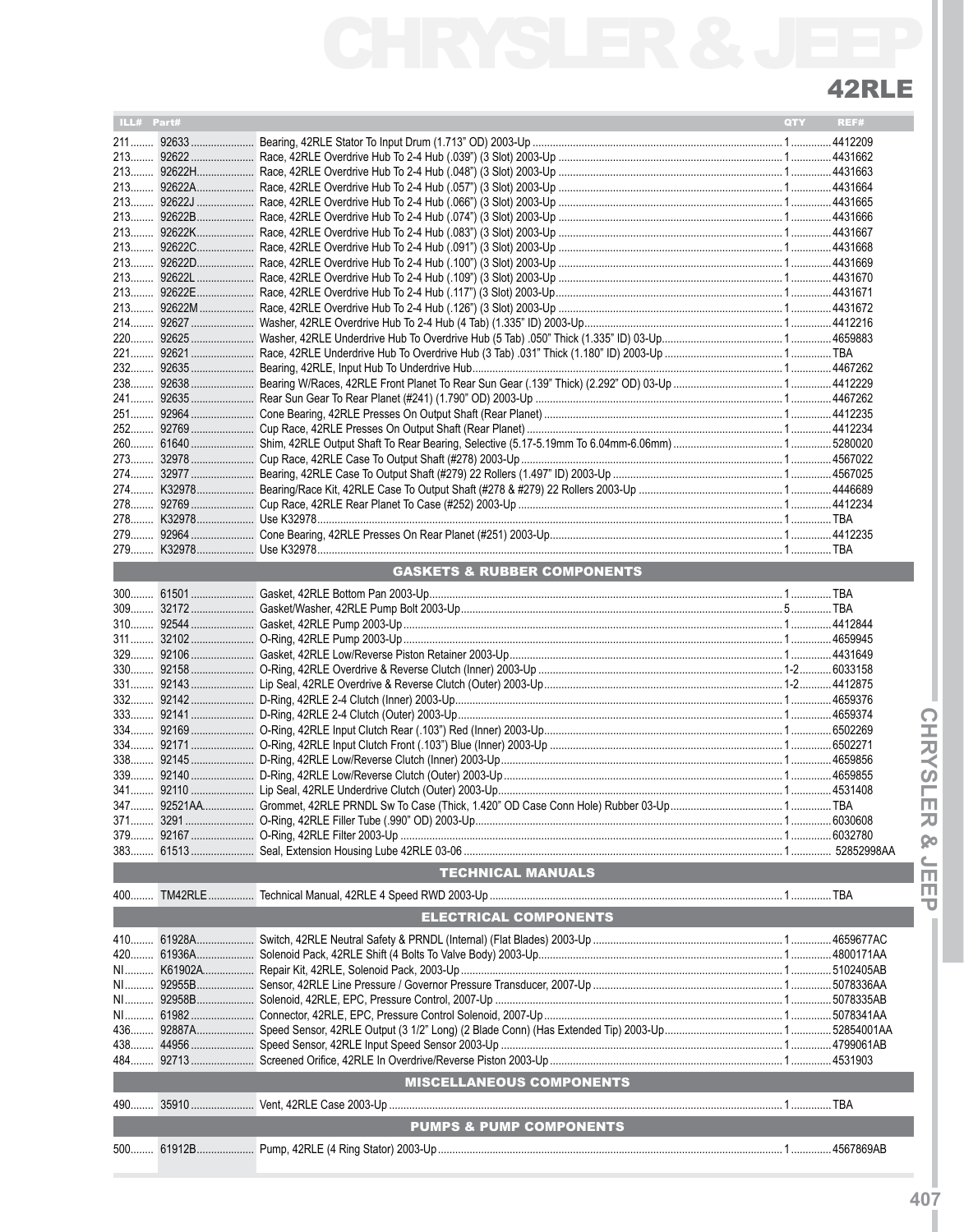# 42RLE

| ILL# Part# |                                        | <b>QTY</b> | REF# |
|------------|----------------------------------------|------------|------|
|            |                                        |            |      |
|            |                                        |            |      |
|            |                                        |            |      |
|            |                                        |            |      |
|            |                                        |            |      |
|            |                                        |            |      |
|            |                                        |            |      |
|            |                                        |            |      |
|            |                                        |            |      |
|            |                                        |            |      |
|            |                                        |            |      |
|            |                                        |            |      |
|            |                                        |            |      |
|            |                                        |            |      |
|            |                                        |            |      |
|            |                                        |            |      |
|            |                                        |            |      |
|            |                                        |            |      |
|            |                                        |            |      |
|            |                                        |            |      |
|            |                                        |            |      |
|            |                                        |            |      |
|            |                                        |            |      |
|            |                                        |            |      |
|            |                                        |            |      |
|            |                                        |            |      |
|            |                                        |            |      |
|            |                                        |            |      |
|            | <b>GASKETS &amp; RUBBER COMPONENTS</b> |            |      |
|            |                                        |            |      |
|            |                                        |            |      |
|            |                                        |            |      |
|            |                                        |            |      |
|            |                                        |            |      |
|            |                                        |            |      |
|            |                                        |            |      |
|            |                                        |            |      |
|            |                                        |            |      |
|            |                                        |            |      |
|            |                                        |            |      |
|            |                                        |            |      |
|            |                                        |            |      |
|            |                                        |            |      |
|            |                                        |            |      |
|            |                                        |            |      |
|            |                                        |            |      |
|            |                                        |            |      |
|            |                                        |            |      |
|            | <b>TECHNICAL MANUALS</b>               |            |      |
|            |                                        |            |      |
|            |                                        |            |      |
|            | <b>ELECTRICAL COMPONENTS</b>           |            |      |
|            |                                        |            |      |
|            |                                        |            |      |
|            |                                        |            |      |
|            |                                        |            |      |
|            |                                        |            |      |
|            |                                        |            |      |
|            |                                        |            |      |
|            |                                        |            |      |
|            |                                        |            |      |
|            |                                        |            |      |
|            | <b>MISCELLANEOUS COMPONENTS</b>        |            |      |
|            |                                        |            |      |
|            | <b>PUMPS &amp; PUMP COMPONENTS</b>     |            |      |
|            |                                        |            |      |
|            |                                        |            |      |
|            |                                        |            |      |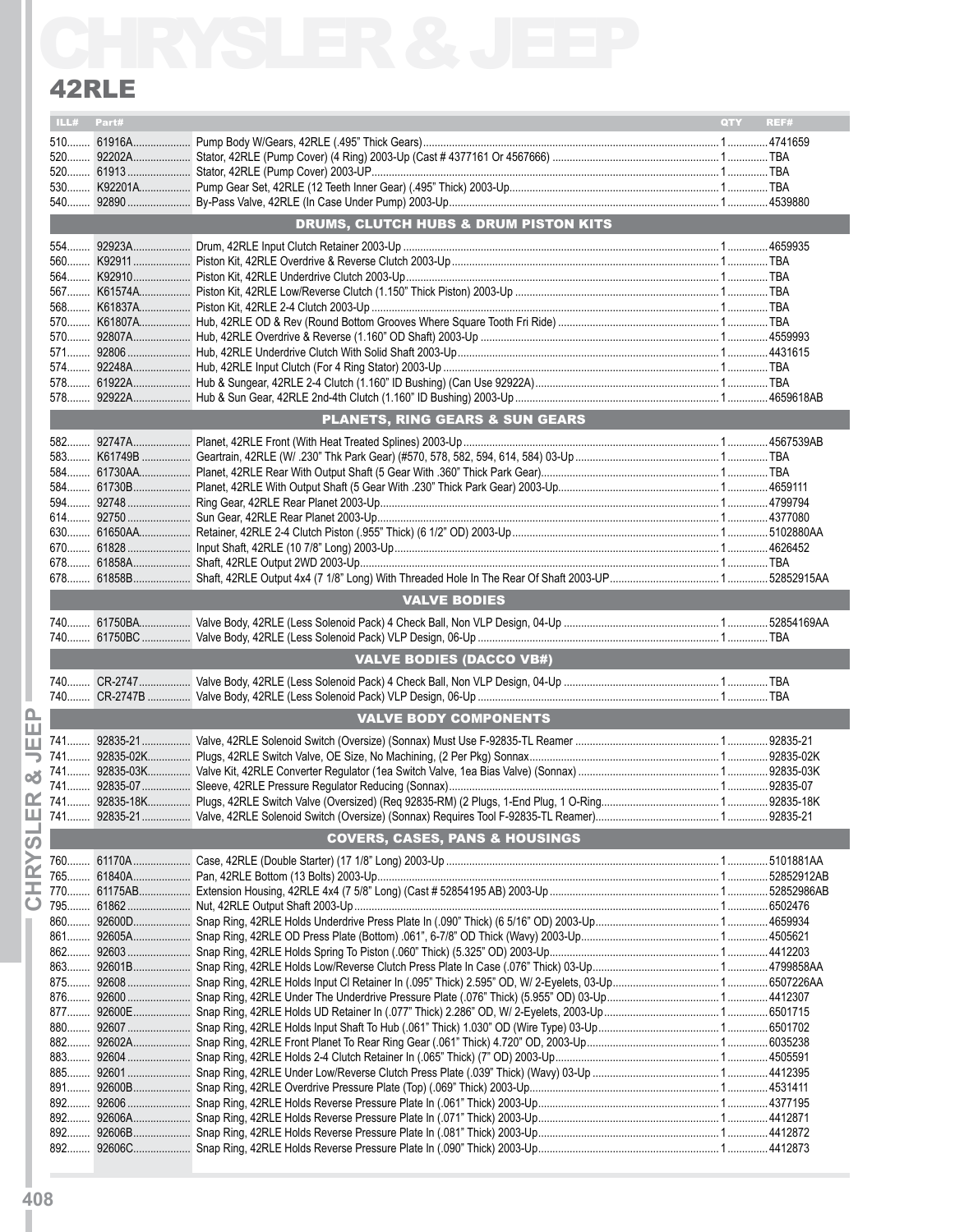### 42RLE

| 42RLE      |                                            |     |      |
|------------|--------------------------------------------|-----|------|
| ILL# Part# |                                            | QTY | REF# |
|            |                                            |     |      |
|            |                                            |     |      |
|            |                                            |     |      |
|            |                                            |     |      |
|            |                                            |     |      |
|            | DRUMS, CLUTCH HUBS & DRUM PISTON KITS      |     |      |
|            |                                            |     |      |
|            |                                            |     |      |
|            |                                            |     |      |
|            |                                            |     |      |
|            |                                            |     |      |
|            |                                            |     |      |
|            |                                            |     |      |
|            |                                            |     |      |
|            |                                            |     |      |
|            | <b>PLANETS, RING GEARS &amp; SUN GEARS</b> |     |      |
|            |                                            |     |      |
|            |                                            |     |      |
|            |                                            |     |      |
|            |                                            |     |      |
|            |                                            |     |      |
|            |                                            |     |      |
|            |                                            |     |      |
|            |                                            |     |      |
|            |                                            |     |      |
|            | <b>VALVE BODIES</b>                        |     |      |
|            |                                            |     |      |
|            | <b>VALVE BODIES (DACCO VB#)</b>            |     |      |
|            |                                            |     |      |
|            | <b>VALVE BODY COMPONENTS</b>               |     |      |
|            |                                            |     |      |
|            |                                            |     |      |
|            |                                            |     |      |
|            |                                            |     |      |
|            |                                            |     |      |
|            |                                            |     |      |
|            | <b>COVERS, CASES, PANS &amp; HOUSINGS</b>  |     |      |
|            |                                            |     |      |
|            |                                            |     |      |
|            |                                            |     |      |
|            |                                            |     |      |
|            |                                            |     |      |
|            |                                            |     |      |
|            |                                            |     |      |
|            |                                            |     |      |
|            |                                            |     |      |
|            |                                            |     |      |
|            |                                            |     |      |
|            |                                            |     |      |
|            |                                            |     |      |
|            |                                            |     |      |
|            |                                            |     |      |
|            |                                            |     |      |
|            |                                            |     |      |